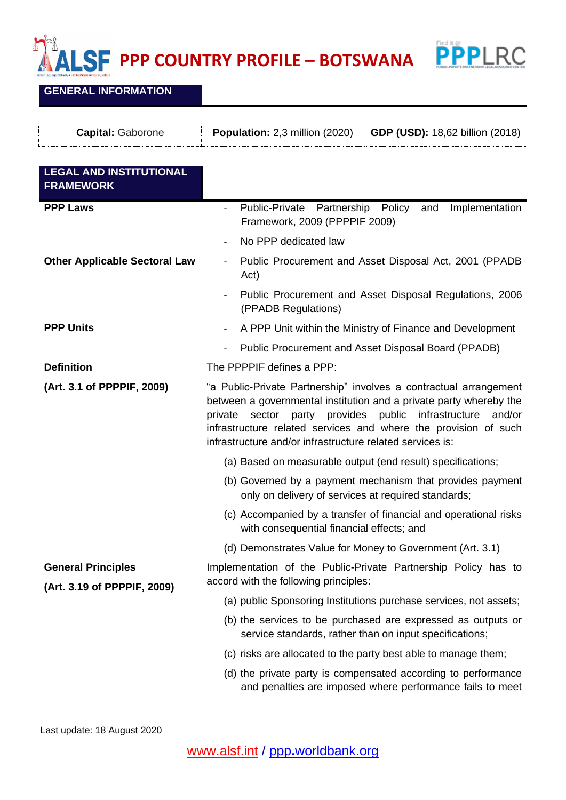**POPP COUNTRY PROFILE** – **BOTSWANA** 



**GENERAL INFORMATION**

| <b>Capital: Gaborone</b>                                 | Population: 2,3 million (2020)<br><b>GDP (USD): 18,62 billion (2018)</b>                                                                                                                                                                                                                                                                    |
|----------------------------------------------------------|---------------------------------------------------------------------------------------------------------------------------------------------------------------------------------------------------------------------------------------------------------------------------------------------------------------------------------------------|
| <b>LEGAL AND INSTITUTIONAL</b><br><b>FRAMEWORK</b>       |                                                                                                                                                                                                                                                                                                                                             |
| <b>PPP Laws</b><br><b>Other Applicable Sectoral Law</b>  | Public-Private Partnership Policy<br>Implementation<br>and<br>Framework, 2009 (PPPPIF 2009)                                                                                                                                                                                                                                                 |
|                                                          | No PPP dedicated law                                                                                                                                                                                                                                                                                                                        |
|                                                          | Public Procurement and Asset Disposal Act, 2001 (PPADB<br>Act)                                                                                                                                                                                                                                                                              |
|                                                          | Public Procurement and Asset Disposal Regulations, 2006<br>(PPADB Regulations)                                                                                                                                                                                                                                                              |
| <b>PPP Units</b>                                         | A PPP Unit within the Ministry of Finance and Development                                                                                                                                                                                                                                                                                   |
|                                                          | Public Procurement and Asset Disposal Board (PPADB)                                                                                                                                                                                                                                                                                         |
| <b>Definition</b>                                        | The PPPPIF defines a PPP:                                                                                                                                                                                                                                                                                                                   |
| (Art. 3.1 of PPPPIF, 2009)                               | "a Public-Private Partnership" involves a contractual arrangement<br>between a governmental institution and a private party whereby the<br>sector party provides public infrastructure<br>and/or<br>private<br>infrastructure related services and where the provision of such<br>infrastructure and/or infrastructure related services is: |
|                                                          | (a) Based on measurable output (end result) specifications;                                                                                                                                                                                                                                                                                 |
|                                                          | (b) Governed by a payment mechanism that provides payment<br>only on delivery of services at required standards;                                                                                                                                                                                                                            |
|                                                          | (c) Accompanied by a transfer of financial and operational risks<br>with consequential financial effects; and                                                                                                                                                                                                                               |
|                                                          | (d) Demonstrates Value for Money to Government (Art. 3.1)                                                                                                                                                                                                                                                                                   |
| <b>General Principles</b><br>(Art. 3.19 of PPPPIF, 2009) | Implementation of the Public-Private Partnership Policy has to<br>accord with the following principles:                                                                                                                                                                                                                                     |
|                                                          | (a) public Sponsoring Institutions purchase services, not assets;                                                                                                                                                                                                                                                                           |
|                                                          | (b) the services to be purchased are expressed as outputs or<br>service standards, rather than on input specifications;                                                                                                                                                                                                                     |
|                                                          | (c) risks are allocated to the party best able to manage them;                                                                                                                                                                                                                                                                              |
|                                                          | (d) the private party is compensated according to performance<br>and penalties are imposed where performance fails to meet                                                                                                                                                                                                                  |

Last update: 18 August 2020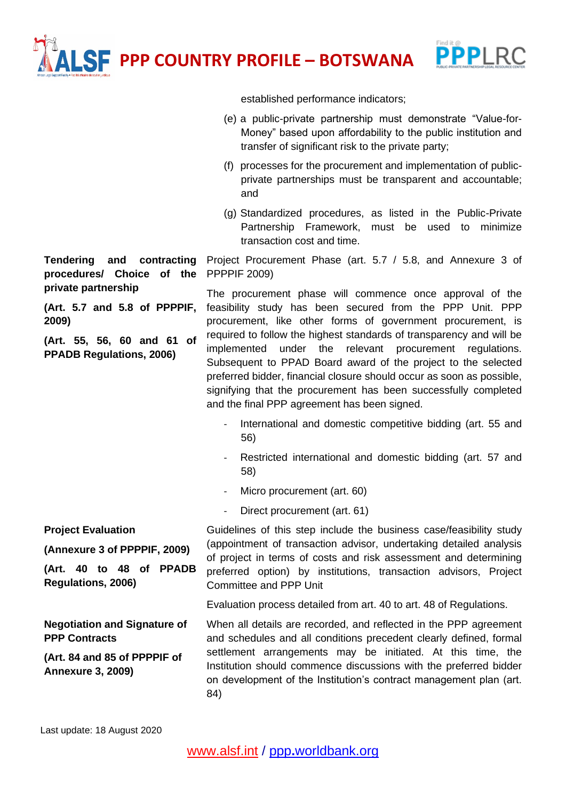**PPP COUNTRY PROFILE – BOTSWANA**



established performance indicators;

- (e) a public-private partnership must demonstrate "Value-for-Money" based upon affordability to the public institution and transfer of significant risk to the private party;
- (f) processes for the procurement and implementation of publicprivate partnerships must be transparent and accountable; and
- (g) Standardized procedures, as listed in the Public-Private Partnership Framework, must be used to minimize transaction cost and time.

Project Procurement Phase (art. 5.7 / 5.8, and Annexure 3 of PPPPIF 2009)

The procurement phase will commence once approval of the feasibility study has been secured from the PPP Unit. PPP procurement, like other forms of government procurement, is required to follow the highest standards of transparency and will be implemented under the relevant procurement regulations. Subsequent to PPAD Board award of the project to the selected preferred bidder, financial closure should occur as soon as possible, signifying that the procurement has been successfully completed and the final PPP agreement has been signed.

- International and domestic competitive bidding (art. 55 and 56)
- Restricted international and domestic bidding (art. 57 and 58)
- Micro procurement (art. 60)
- Direct procurement (art. 61)

**Project Evaluation (Annexure 3 of PPPPIF, 2009) (Art. 40 to 48 of PPADB Regulations, 2006)** Guidelines of this step include the business case/feasibility study (appointment of transaction advisor, undertaking detailed analysis of project in terms of costs and risk assessment and determining preferred option) by institutions, transaction advisors, Project Committee and PPP Unit

Evaluation process detailed from art. 40 to art. 48 of Regulations.

When all details are recorded, and reflected in the PPP agreement and schedules and all conditions precedent clearly defined, formal settlement arrangements may be initiated. At this time, the Institution should commence discussions with the preferred bidder on development of the Institution's contract management plan (art. 84)

**Tendering and contracting procedures/ Choice of the private partnership**

**(Art. 5.7 and 5.8 of PPPPIF, 2009)**

**(Art. 55, 56, 60 and 61 of PPADB Regulations, 2006)**

**Negotiation and Signature of** 

**(Art. 84 and 85 of PPPPIF of** 

**PPP Contracts** 

**Annexure 3, 2009)**